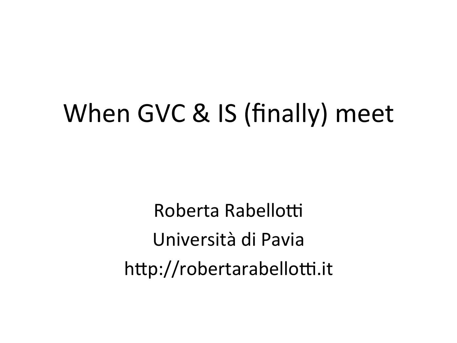## When GVC & IS (finally) meet

Roberta Rabellotti Università di Pavia http://robertarabellotti.it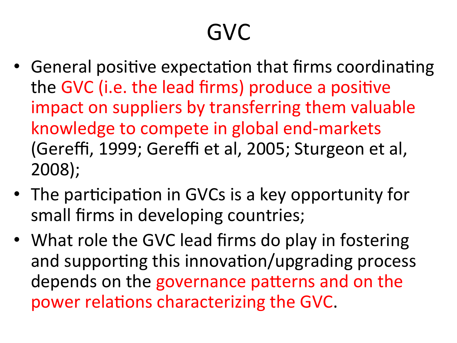### GVC

- General positive expectation that firms coordinating the GVC (i.e. the lead firms) produce a positive impact on suppliers by transferring them valuable knowledge to compete in global end-markets (Gereffi, 1999; Gereffi et al, 2005; Sturgeon et al, 2008);
- The participation in GVCs is a key opportunity for small firms in developing countries;
- What role the GVC lead firms do play in fostering and supporting this innovation/upgrading process depends on the governance patterns and on the power relations characterizing the GVC.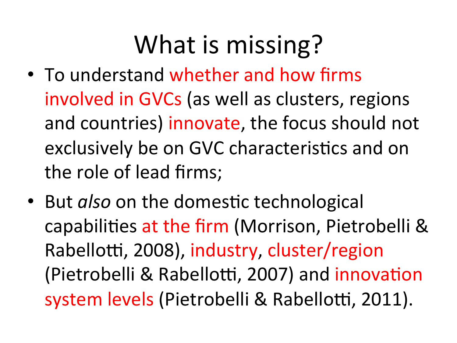# What is missing?

- To understand whether and how firms involved in GVCs (as well as clusters, regions and countries) innovate, the focus should not exclusively be on GVC characteristics and on the role of lead firms;
- But *also* on the domestic technological capabilities at the firm (Morrison, Pietrobelli & Rabellotti, 2008), industry, cluster/region (Pietrobelli & Rabellotti, 2007) and innovation system levels (Pietrobelli & Rabellotti, 2011).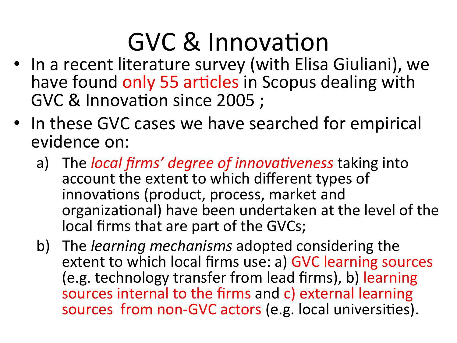# GVC & Innovation

- In a recent literature survey (with Elisa Giuliani), we have found only 55 articles in Scopus dealing with GVC & Innovation since 2005 ;
- In these GVC cases we have searched for empirical evidence on:
	- a) The *local firms' degree of innovativeness* taking into account the extent to which different types of innovations (product, process, market and organizational) have been undertaken at the level of the local firms that are part of the GVCs;
	- b) The *learning mechanisms* adopted considering the extent to which local firms use: a) GVC learning sources (e.g. technology transfer from lead firms), b) learning sources internal to the firms and c) external learning sources from non-GVC actors (e.g. local universities).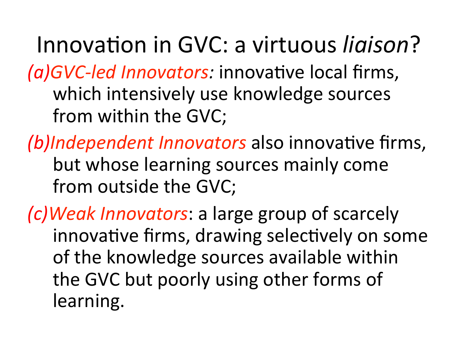Innovation in GVC: a virtuous *ligison*? *(a)GVC-led Innovators:* innovative local firms, which intensively use knowledge sources from within the GVC;

*(b)Independent Innovators* also innovative firms, but whose learning sources mainly come from outside the GVC;

*(c)Weak Innovators*: a large group of scarcely innovative firms, drawing selectively on some of the knowledge sources available within the GVC but poorly using other forms of learning.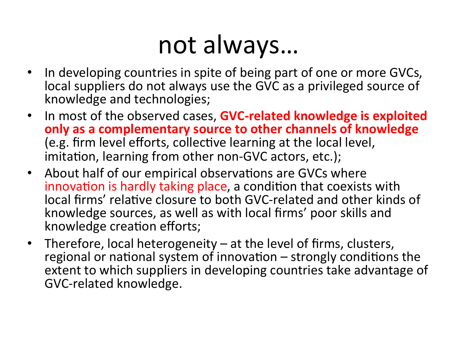### not always...

- In developing countries in spite of being part of one or more GVCs, local suppliers do not always use the GVC as a privileged source of knowledge and technologies;
- In most of the observed cases, **GVC-related knowledge is exploited only as a complementary source to other channels of knowledge** (e.g. firm level efforts, collective learning at the local level, imitation, learning from other non-GVC actors, etc.);
- About half of our empirical observations are GVCs where innovation is hardly taking place, a condition that coexists with local firms' relative closure to both GVC-related and other kinds of knowledge sources, as well as with local firms' poor skills and knowledge creation efforts;
- Therefore, local heterogeneity at the level of firms, clusters, regional or national system of innovation  $-$  strongly conditions the extent to which suppliers in developing countries take advantage of GVC-related knowledge.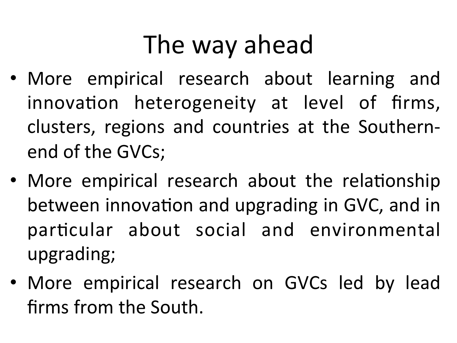# The way ahead

- More empirical research about learning and innovation heterogeneity at level of firms, clusters, regions and countries at the Southernend of the GVCs;
- More empirical research about the relationship between innovation and upgrading in GVC, and in particular about social and environmental upgrading;
- More empirical research on GVCs led by lead firms from the South.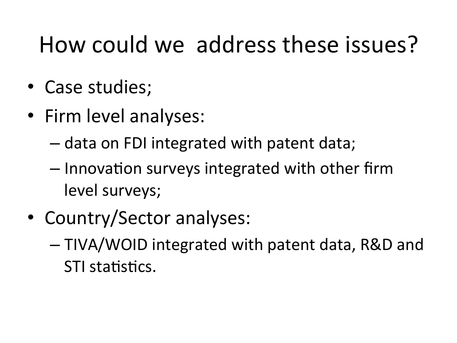#### How could we address these issues?

- Case studies;
- Firm level analyses:
	- data on FDI integrated with patent data;
	- $-$  Innovation surveys integrated with other firm level surveys;
- Country/Sector analyses:
	- $-$  TIVA/WOID integrated with patent data, R&D and STI statistics.